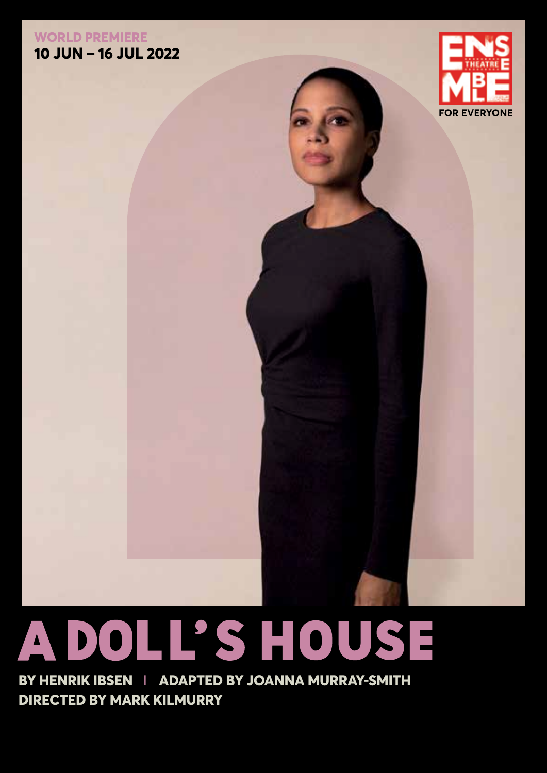### **WORLD PREMIERE 10 JUN – 16 JUL 2022**



# **A DOLL'S HOUSE**

**BY HENRIK IBSEN** I **ADAPTED BY JOANNA MURRAY-SMITH DIRECTED BY MARK KILMURRY**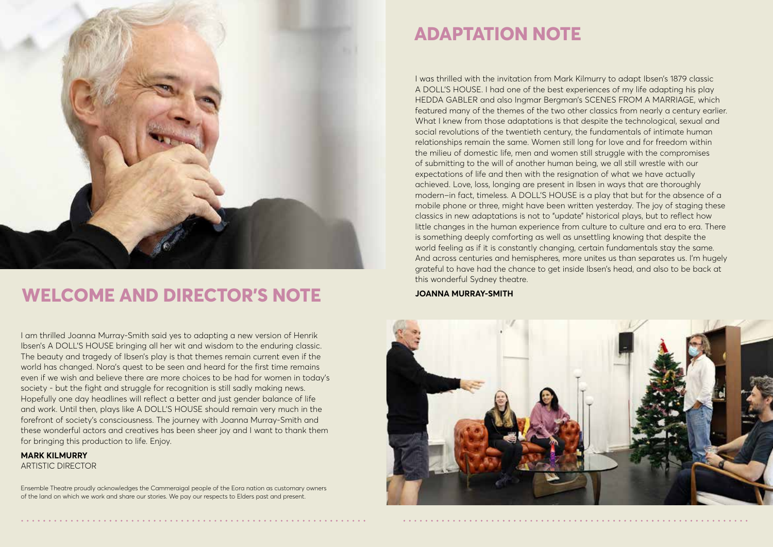

# **WELCOME AND DIRECTOR'S NOTE**

I am thrilled Joanna Murray-Smith said yes to adapting a new version of Henrik Ibsen's A DOLL'S HOUSE bringing all her wit and wisdom to the enduring classic. The beauty and tragedy of Ibsen's play is that themes remain current even if the world has changed. Nora's quest to be seen and heard for the first time remains even if we wish and believe there are more choices to be had for women in today's society - but the fight and struggle for recognition is still sadly making news. Hopefully one day headlines will reflect a better and just gender balance of life and work. Until then, plays like A DOLL'S HOUSE should remain very much in the forefront of society's consciousness. The journey with Joanna Murray-Smith and these wonderful actors and creatives has been sheer joy and I want to thank them for bringing this production to life. Enjoy.

**MARK KILMURRY** ARTISTIC DIRECTOR

Ensemble Theatre proudly acknowledges the Cammeraigal people of the Eora nation as customary owners of the land on which we work and share our stories. We pay our respects to Elders past and present.

# **ADAPTATION NOTE**

I was thrilled with the invitation from Mark Kilmurry to adapt Ibsen's 1879 classic A DOLL'S HOUSE. I had one of the best experiences of my life adapting his play HEDDA GABLER and also Ingmar Bergman's SCENES FROM A MARRIAGE, which featured many of the themes of the two other classics from nearly a century earlier. What I knew from those adaptations is that despite the technological, sexual and social revolutions of the twentieth century, the fundamentals of intimate human relationships remain the same. Women still long for love and for freedom within the milieu of domestic life, men and women still struggle with the compromises of submitting to the will of another human being, we all still wrestle with our expectations of life and then with the resignation of what we have actually achieved. Love, loss, longing are present in Ibsen in ways that are thoroughly modern–in fact, timeless. A DOLL'S HOUSE is a play that but for the absence of a mobile phone or three, might have been written yesterday. The joy of staging these classics in new adaptations is not to "update" historical plays, but to reflect how little changes in the human experience from culture to culture and era to era. There is something deeply comforting as well as unsettling knowing that despite the world feeling as if it is constantly changing, certain fundamentals stay the same. And across centuries and hemispheres, more unites us than separates us. I'm hugely grateful to have had the chance to get inside Ibsen's head, and also to be back at this wonderful Sydney theatre.

**JOANNA MURRAY-SMITH**

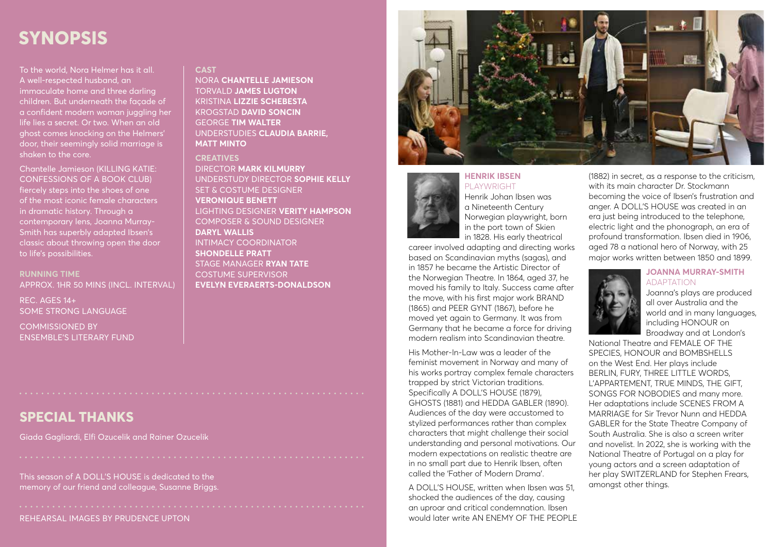# **SYNOPSIS**

To the world, Nora Helmer has it all. A well-respected husband, an immaculate home and three darling children. But underneath the façade of a confident modern woman juggling her life lies a secret. Or two. When an old ghost comes knocking on the Helmers' door, their seemingly solid marriage is shaken to the core.

Chantelle Jamieson (KILLING KATIE: CONFESSIONS OF A BOOK CLUB) fiercely steps into the shoes of one of the most iconic female characters in dramatic history. Through a contemporary lens, Joanna Murray-Smith has superbly adapted Ibsen's classic about throwing open the door to life's possibilities.

**RUNNING TIME**  APPROX. 1HR 50 MINS (INCL. INTERVAL)

REC. AGES 14+ SOME STRONG LANGUAGE

COMMISSIONED BY ENSEMBLE'S LITERARY FUND

### **CAST**

NORA **CHANTELLE JAMIESON** TORVALD **JAMES LUGTON**  KRISTINA **LIZZIE SCHEBESTA** KROGSTAD **DAVID SONCIN** GEORGE **TIM WALTER** UNDERSTUDIES **CLAUDIA BARRIE, MATT MINTO**

### **CREATIVES**

DIRECTOR **MARK KILMURRY** UNDERSTUDY DIRECTOR **SOPHIE KELLY** SET & COSTUME DESIGNER **VERONIQUE BENETT** LIGHTING DESIGNER **VERITY HAMPSON** COMPOSER & SOUND DESIGNER **DARYL WALLIS** INTIMACY COORDINATOR **SHONDELLE PRATT** STAGE MANAGER **RYAN TATE** COSTUME SUPERVISOR **EVELYN EVERAERTS-DONALDSON**



### **HENRIK IBSEN** PLAYWRIGHT

Henrik Johan Ibsen was a Nineteenth Century Norwegian playwright, born in the port town of Skien in 1828. His early theatrical

career involved adapting and directing works based on Scandinavian myths (sagas), and in 1857 he became the Artistic Director of the Norwegian Theatre. In 1864, aged 37, he moved his family to Italy. Success came after the move, with his first major work BRAND (1865) and PEER GYNT (1867), before he moved yet again to Germany. It was from Germany that he became a force for driving modern realism into Scandinavian theatre.

His Mother-In-Law was a leader of the feminist movement in Norway and many of his works portray complex female characters trapped by strict Victorian traditions. Specifically A DOLL'S HOUSE (1879), GHOSTS (1881) and HEDDA GABLER (1890). Audiences of the day were accustomed to stylized performances rather than complex characters that might challenge their social understanding and personal motivations. Our modern expectations on realistic theatre are in no small part due to Henrik Ibsen, often called the 'Father of Modern Drama'.

A DOLL'S HOUSE, written when Ibsen was 51, shocked the audiences of the day, causing an uproar and critical condemnation. Ibsen would later write AN FNFMY OF THE PEOPLE (1882) in secret, as a response to the criticism, with its main character Dr. Stockmann becoming the voice of Ibsen's frustration and anger. A DOLL'S HOUSE was created in an era just being introduced to the telephone, electric light and the phonograph, an era of profound transformation. Ibsen died in 1906, aged 78 a national hero of Norway, with 25 major works written between 1850 and 1899.



ADAPTATION Joanna's plays are produced all over Australia and the

world and in many languages, including HONOUR on Broadway and at London's

National Theatre and FEMALE OF THE SPECIES, HONOUR and BOMBSHELLS on the West End. Her plays include BERLIN, FURY, THREE LITTLE WORDS, L'APPARTEMENT, TRUE MINDS, THE GIFT, SONGS FOR NOBODIES and many more. Her adaptations include SCENES FROM A MARRIAGE for Sir Trevor Nunn and HEDDA GABLER for the State Theatre Company of South Australia. She is also a screen writer and novelist. In 2022, she is working with the National Theatre of Portugal on a play for young actors and a screen adaptation of her play SWITZERLAND for Stephen Frears, amongst other things.

## **SPECIAL THANKS**

Giada Gagliardi, Elfi Ozucelik and Rainer Ozucelik

This season of A DOLL'S HOUSE is dedicated to the memory of our friend and colleague, Susanne Briggs.

REHEARSAL IMAGES BY PRUDENCE UPTON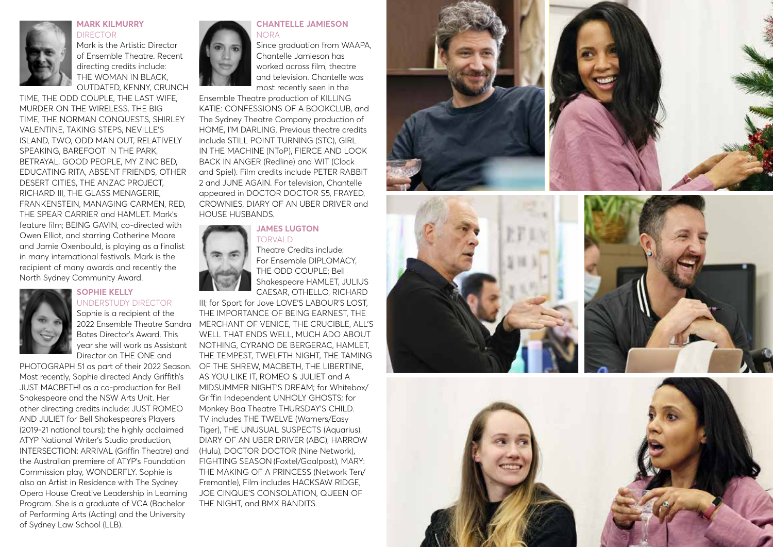

### **MARK KILMURRY**  DIRECTOR

Mark is the Artistic Director of Ensemble Theatre. Recent directing credits include: THE WOMAN IN BLACK, OUTDATED, KENNY, CRUNCH

TIME, THE ODD COUPLE, THE LAST WIFE, MURDER ON THE WIRELESS, THE BIG TIME, THE NORMAN CONQUESTS, SHIRLEY VALENTINE, TAKING STEPS, NEVILLE'S ISLAND, TWO, ODD MAN OUT, RELATIVELY SPEAKING, BAREFOOT IN THE PARK, BETRAYAL, GOOD PEOPLE, MY ZINC BED, EDUCATING RITA, ABSENT FRIENDS, OTHER DESERT CITIES, THE ANZAC PROJECT, RICHARD III, THE GLASS MENAGERIE, FRANKENSTEIN, MANAGING CARMEN, RED, THE SPEAR CARRIER and HAMLET. Mark's feature film; BEING GAVIN, co-directed with Owen Elliot, and starring Catherine Moore and Jamie Oxenbould, is playing as a finalist in many international festivals. Mark is the recipient of many awards and recently the North Sydney Community Award.



### **SOPHIE KELLY**  UNDERSTUDY DIRECTOR

Sophie is a recipient of the Bates Director's Award. This year she will work as Assistant Director on THE ONE and

PHOTOGRAPH 51 as part of their 2022 Season. OF THE SHREW, MACBETH, THE LIBERTINE, Most recently, Sophie directed Andy Griffith's JUST MACBETH! as a co-production for Bell Shakespeare and the NSW Arts Unit. Her other directing credits include: JUST ROMEO AND JULIET for Bell Shakespeare's Players (2019-21 national tours); the highly acclaimed ATYP National Writer's Studio production, INTERSECTION: ARRIVAL (Griffin Theatre) and the Australian premiere of ATYP's Foundation Commission play, WONDERFLY. Sophie is also an Artist in Residence with The Sydney Opera House Creative Leadership in Learning Program. She is a graduate of VCA (Bachelor of Performing Arts (Acting) and the University of Sydney Law School (LLB).



### **CHANTELLE JAMIESON**  NORA

Since araduation from WAAPA. Chantelle Jamieson has worked across film, theatre and television. Chantelle was most recently seen in the

Ensemble Theatre production of KILLING KATIF: CONFESSIONS OF A BOOKCLUB, and The Sydney Theatre Company production of HOME, I'M DARLING. Previous theatre credits include STILL POINT TURNING (STC), GIRL IN THE MACHINE (NToP), FIERCE AND LOOK BACK IN ANGER (Redline) and WIT (Clock and Spiel). Film credits include PETER RABBIT 2 and JUNE AGAIN. For television, Chantelle appeared in DOCTOR DOCTOR S5, FRAYED, CROWNIES, DIARY OF AN UBER DRIVER and HOUSE HUSBANDS.

### **JAMES LUGTON** TORVALD



Theatre Credits include: For Ensemble DIPLOMACY, THE ODD COUPLE; Bell Shakespeare HAMLET, JULIUS CAESAR, OTHELLO, RICHARD

2022 Ensemble Theatre Sandra MERCHANT OF VENICE, THE CRUCIBLE, ALL'S III; for Sport for Jove LOVE'S LABOUR'S LOST, THE IMPORTANCE OF BEING EARNEST, THE WELL THAT ENDS WELL, MUCH ADO ABOUT NOTHING, CYRANO DE BERGERAC, HAMLET, THE TEMPEST, TWELFTH NIGHT, THE TAMING AS YOU LIKE IT, ROMEO & JULIET and A MIDSUMMER NIGHT'S DREAM; for Whitebox/ Griffin Independent UNHOLY GHOSTS; for Monkey Baa Theatre THURSDAY'S CHILD. TV includes THE TWELVE (Warners/Easy Tiger), THE UNUSUAL SUSPECTS (Aquarius), DIARY OF AN UBER DRIVER (ABC), HARROW (Hulu), DOCTOR DOCTOR (Nine Network), FIGHTING SEASON (Foxtel/Goalpost), MARY: THE MAKING OF A PRINCESS (Network Ten/ Fremantle), Film includes HACKSAW RIDGE, JOE CINQUE'S CONSOLATION, QUEEN OF THE NIGHT, and BMX BANDITS.







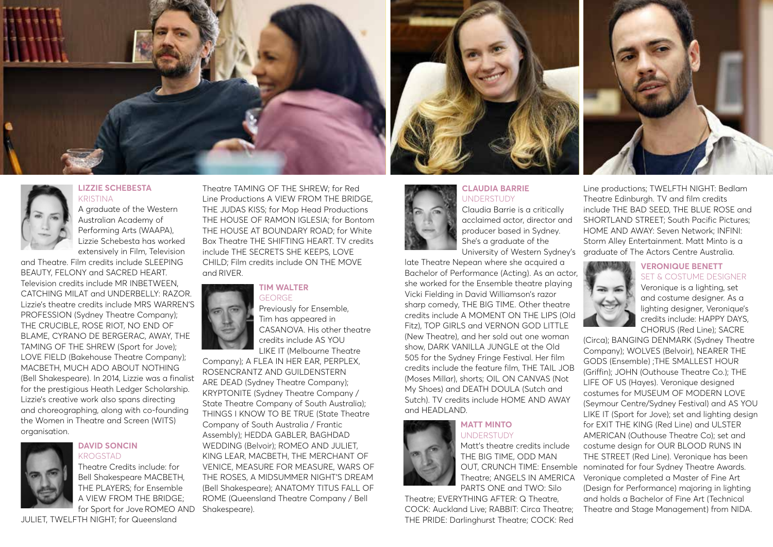



### **LIZZIE SCHEBESTA KRISTINA**

A graduate of the Western Australian Academy of Performing Arts (WAAPA), Lizzie Schebesta has worked extensively in Film, Television

and Theatre. Film credits include SLEEPING BEAUTY, FELONY and SACRED HEART. Television credits include MR INBETWEEN, CATCHING MILAT and UNDERBELLY: RAZOR. Lizzie's theatre credits include MRS WARREN'S PROFESSION (Sydney Theatre Company); THE CRUCIBLE, ROSE RIOT, NO END OF BLAME, CYRANO DE BERGERAC, AWAY, THE TAMING OF THE SHREW (Sport for Jove); LOVE FIELD (Bakehouse Theatre Company); MACBETH, MUCH ADO ABOUT NOTHING (Bell Shakespeare). In 2014, Lizzie was a finalist for the prestigious Heath Ledger Scholarship. Lizzie's creative work also spans directing and choreographing, along with co-founding the Women in Theatre and Screen (WITS) organisation.



### **DAVID SONCIN** KROGSTAD

Theatre Credits include: for Bell Shakespeare MACBETH, THE PLAYERS; for Ensemble A VIEW FROM THE BRIDGE; for Sport for Jove ROMEO AND

JULIET, TWELFTH NIGHT; for Queensland

Theatre TAMING OF THE SHREW; for Red Line Productions A VIEW FROM THE BRIDGE, THE JUDAS KISS; for Mop Head Productions THE HOUSE OF RAMON IGLESIA; for Bontom THE HOUSE AT BOUNDARY ROAD; for White Box Theatre THE SHIFTING HEART. TV credits include THE SECRETS SHE KEEPS, LOVE CHILD; Film credits include ON THE MOVE and RIVER.

### **TIM WALTER** GEORGE

Previously for Ensemble, Tim has appeared in CASANOVA. His other theatre credits include AS YOU LIKE IT (Melbourne Theatre

Company); A FLEA IN HER EAR, PERPLEX, ROSENCRANTZ AND GUILDENSTERN ARE DEAD (Sydney Theatre Company); KRYPTONITE (Sydney Theatre Company / State Theatre Company of South Australia); THINGS I KNOW TO BE TRUE (State Theatre Company of South Australia / Frantic Assembly); HEDDA GABLER, BAGHDAD WEDDING (Belvoir); ROMEO AND JULIET, KING LEAR, MACBETH, THE MERCHANT OF VENICE, MEASURE FOR MEASURE, WARS OF THE ROSES, A MIDSUMMER NIGHT'S DREAM (Bell Shakespeare); ANATOMY TITUS FALL OF ROME (Queensland Theatre Company / Bell Shakespeare).



### **CLAUDIA BARRIE UNDERSTUDY**

Claudia Barrie is a critically acclaimed actor, director and producer based in Sydney. She's a graduate of the University of Western Sydney's

late Theatre Nepean where she acquired a Bachelor of Performance (Acting). As an actor, she worked for the Ensemble theatre playing Vicki Fielding in David Williamson's razor sharp comedy, THE BIG TIME. Other theatre credits include A MOMENT ON THE LIPS (Old Fitz), TOP GIRLS and VERNON GOD LITTLE (New Theatre), and her sold out one woman show, DARK VANILLA JUNGLE at the Old 505 for the Sydney Fringe Festival. Her film credits include the feature film, THE TAIL JOB (Moses Millar), shorts; OIL ON CANVAS (Not My Shoes) and DEATH DOULA (Sutch and Sutch). TV credits include HOME AND AWAY and HEADLAND.

### **MATT MINTO** UNDERSTUDY

Matt's theatre credits include THE BIG TIME, ODD MAN Theatre; ANGELS IN AMERICA PARTS ONE and TWO: Silo

Theatre; EVERYTHING AFTER: Q Theatre, COCK: Auckland Live; RABBIT: Circa Theatre; THE PRIDE: Darlinghurst Theatre; COCK: Red



Line productions; TWELFTH NIGHT: Bedlam Theatre Edinburgh. TV and film credits include THE BAD SEED, THE BLUE ROSE and SHORTLAND STREET; South Pacific Pictures; HOME AND AWAY: Seven Network; INFINI: Storm Alley Entertainment. Matt Minto is a graduate of The Actors Centre Australia.



### **VERONIQUE BENETT**  SET & COSTUME DESIGNER

Veronique is a lighting, set and costume designer. As a lighting designer, Veronique's credits include: HAPPY DAYS, CHORUS (Red Line); SACRE

OUT, CRUNCH TIME: Ensemble nominated for four Sydney Theatre Awards. (Circa); BANGING DENMARK (Sydney Theatre Company); WOLVES (Belvoir), NEARER THE GODS (Ensemble) ;THE SMALLEST HOUR (Griffin); JOHN (Outhouse Theatre Co.); THE LIFE OF US (Hayes). Veronique designed costumes for MUSEUM OF MODERN LOVE (Seymour Centre/Sydney Festival) and AS YOU LIKE IT (Sport for Jove); set and lighting design for EXIT THE KING (Red Line) and ULSTER AMERICAN (Outhouse Theatre Co); set and costume design for OUR BLOOD RUNS IN THE STREET (Red Line). Veronique has been Veronique completed a Master of Fine Art (Design for Performance) majoring in lighting and holds a Bachelor of Fine Art (Technical Theatre and Stage Management) from NIDA.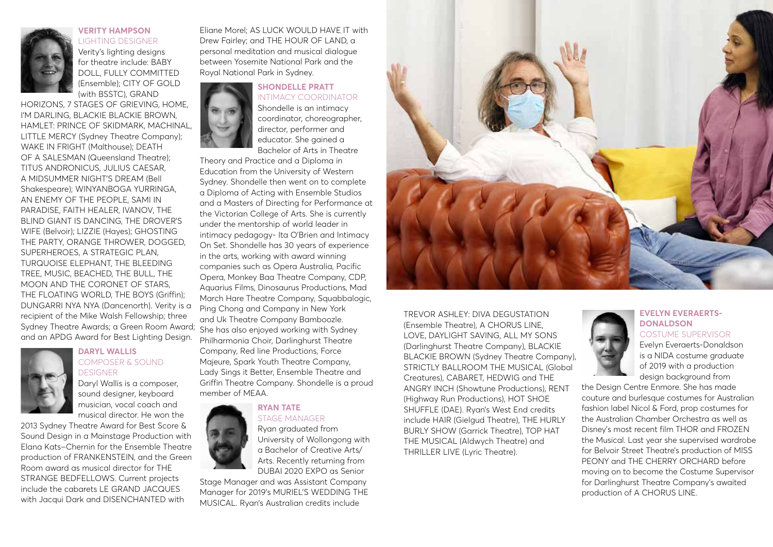

**VERITY HAMPSON** LIGHTING DESIGNER

Verity's lighting designs for theatre include: BABY DOLL, FULLY COMMITTED (Ensemble); CITY OF GOLD (with BSSTC), GRAND

HORIZONS, 7 STAGES OF GRIEVING, HOME, I'M DARLING, BLACKIE BLACKIE BROWN, HAMLET: PRINCE OF SKIDMARK, MACHINAL, LITTLE MERCY (Sydney Theatre Company); WAKE IN FRIGHT (Malthouse); DEATH OF A SALESMAN (Queensland Theatre); TITUS ANDRONICUS, JULIUS CAESAR, A MIDSUMMER NIGHT'S DREAM (Bell Shakespeare); WINYANBOGA YURRINGA, AN ENEMY OF THE PEOPLE, SAMI IN PARADISE, FAITH HEALER, IVANOV, THE BLIND GIANT IS DANCING, THE DROVER'S WIFE (Belvoir); LIZZIE (Hayes); GHOSTING THE PARTY, ORANGE THROWER, DOGGED, SUPERHEROES, A STRATEGIC PLAN, TURQUOISE ELEPHANT, THE BLEEDING TREE, MUSIC, BEACHED, THE BULL, THE MOON AND THE CORONET OF STARS, THE FLOATING WORLD, THE BOYS (Griffin); DUNGARRI NYA NYA (Dancenorth). Verity is a recipient of the Mike Walsh Fellowship; three Sydney Theatre Awards; a Green Room Award; She has also enjoyed working with Sydney and an APDG Award for Best Lighting Design.



### **DARYL WALLIS**  COMPOSER & SOUND **DESIGNER**

Daryl Wallis is a composer, sound designer, keyboard musician, vocal coach and musical director. He won the

2013 Sydney Theatre Award for Best Score & Sound Design in a Mainstage Production with Elana Kats–Chernin for the Ensemble Theatre production of FRANKENSTEIN, and the Green Room award as musical director for THE STRANGE BEDFELLOWS. Current projects include the cabarets LE GRAND JACQUES with Jacqui Dark and DISENCHANTED with

Eliane Morel; AS LUCK WOULD HAVE IT with Drew Fairley; and THE HOUR OF LAND, a personal meditation and musical dialogue between Yosemite National Park and the Royal National Park in Sydney.

### **SHONDELLE PRATT** INTIMACY COORDINATOR

Shondelle is an intimacy coordinator, choreographer, director, performer and educator. She gained a Bachelor of Arts in Theatre

Theory and Practice and a Diploma in Education from the University of Western Sydney. Shondelle then went on to complete a Diploma of Acting with Ensemble Studios and a Masters of Directing for Performance at the Victorian College of Arts. She is currently under the mentorship of world leader in intimacy pedagogy- Ita O'Brien and Intimacy On Set. Shondelle has 30 years of experience in the arts, working with award winning companies such as Opera Australia, Pacific Opera, Monkey Baa Theatre Company, CDP, Aquarius Films, Dinosaurus Productions, Mad March Hare Theatre Company, Sauabbalogic, Ping Chong and Company in New York and Uk Theatre Company Bamboozle. Philharmonia Choir, Darlinghurst Theatre Company, Red line Productions, Force Majeure, Spark Youth Theatre Company, Lady Sings it Better, Ensemble Theatre and Griffin Theatre Company. Shondelle is a proud member of MEAA.

### **RYAN TATE** STAGE MANAGER



Stage Manager and was Assistant Company Manager for 2019's MURIEL'S WEDDING THE MUSICAL. Ryan's Australian credits include



TREVOR ASHLEY: DIVA DEGUSTATION (Ensemble Theatre), A CHORUS LINE, LOVE, DAYLIGHT SAVING, ALL MY SONS (Darlinghurst Theatre Company), BLACKIE BLACKIE BROWN (Sydney Theatre Company), STRICTLY BALLROOM THE MUSICAL (Global Creatures), CABARET, HEDWIG and THE ANGRY INCH (Showtune Productions), RENT (Highway Run Productions), HOT SHOE SHUFFLE (DAE). Ryan's West End credits include HAIR (Gielgud Theatre), THE HURLY BURLY SHOW (Garrick Theatre), TOP HAT THE MUSICAL (Aldwych Theatre) and THRILLER LIVE (Lyric Theatre).

### **EVELYN EVERAERTS-DONALDSON** COSTUME SUPERVISOR

Evelyn Everaerts-Donaldson is a NIDA costume graduate of 2019 with a production design background from

the Design Centre Enmore. She has made couture and burlesque costumes for Australian fashion label Nicol & Ford, prop costumes for the Australian Chamber Orchestra as well as Disney's most recent film THOR and FROZEN the Musical. Last year she supervised wardrobe for Belvoir Street Theatre's production of MISS PEONY and THE CHERRY ORCHARD before moving on to become the Costume Supervisor for Darlinghurst Theatre Company's awaited production of A CHORUS LINE.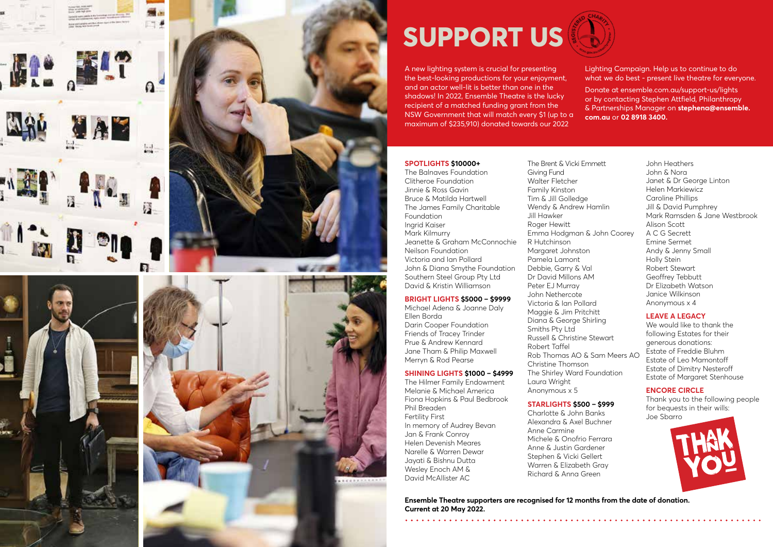

# **SUPPORT US**

A new lighting system is crucial for presenting the best-looking productions for your enjoyment, and an actor well-lit is better than one in the shadows! In 2022, Ensemble Theatre is the lucky recipient of a matched funding grant from the NSW Government that will match every \$1 (up to a maximum of \$235,910) donated towards our 2022

Lighting Campaign. Help us to continue to do what we do best - present live theatre for everyone.

Donate at ensemble.com.au/support-us/lights or by contacting Stephen Attfield, Philanthropy & Partnerships Manager on **stephena@ensemble. com.au** or **02 8918 3400.**

### **SPOTLIGHTS \$10000+**

The Balnaves Foundation Clitheroe Foundation Jinnie & Ross Gavin Bruce & Matilda Hartwell The James Family Charitable Foundation Ingrid Kaiser Mark Kilmurry Jeanette & Graham McConnochie Neilson Foundation Victoria and Ian Pollard John & Diana Smythe Foundation Southern Steel Group Pty Ltd David & Kristin Williamson

### **BRIGHT LIGHTS \$5000 – \$9999**

Michael Adena & Joanne Daly Ellen Borda Darin Cooper Foundation Friends of Tracey Trinder Prue & Andrew Kennard Jane Tham & Philip Maxwell Merryn & Rod Pearse

### **SHINING LIGHTS \$1000 – \$4999**

The Hilmer Family Endowment Melanie & Michael America Fiona Hopkins & Paul Bedbrook Phil Breaden Fertility First In memory of Audrey Bevan Jan & Frank Conroy Helen Devenish Meares Narelle & Warren Dewar Jayati & Bishnu Dutta Wesley Enoch AM & David McAllister AC

Giving Fund Walter Fletcher Family Kinston Tim & Jill Golledge Wendy & Andrew Hamlin Jill Hawker Roger Hewitt Emma Hodgman & John Coorey R Hutchinson Margaret Johnston Pamela Lamont Debbie, Garry & Val Dr David Millons AM Peter EJ Murray John Nethercote Victoria & Ian Pollard Maggie & Jim Pritchitt Diana & George Shirling Smiths Pty Ltd Russell & Christine Stewart Robert Taffel Rob Thomas AO & Sam Meers AO Christine Thomson The Shirley Ward Foundation Laura Wright

The Brent & Vicki Emmett

### **STARLIGHTS \$500 – \$999**

Anonymous x 5

Charlotte & John Banks Alexandra & Axel Buchner Anne Carmine Michele & Onofrio Ferrara Anne & Justin Gardener Stephen & Vicki Gellert Warren & Elizabeth Gray Richard & Anna Green

John Heathers John & Nora Janet & Dr George Linton Helen Markiewicz Caroline Phillips Jill & David Pumphrey Mark Ramsden & Jane Westbrook Alison Scott A C G Secrett Emine Sermet Andy & Jenny Small Holly Stein Robert Stewart Geoffrey Tebbutt Dr Elizabeth Watson Janice Wilkinson Anonymous x 4

### **LEAVE A LEGACY**

We would like to thank the following Estates for their generous donations: Estate of Freddie Bluhm Estate of Leo Mamontoff Estate of Dimitry Nesteroff Estate of Margaret Stenhouse

### **ENCORE CIRCLE**

Thank you to the following people for bequests in their wills: Joe Sbarro



**Ensemble Theatre supporters are recognised for 12 months from the date of donation. Current at 20 May 2022.**